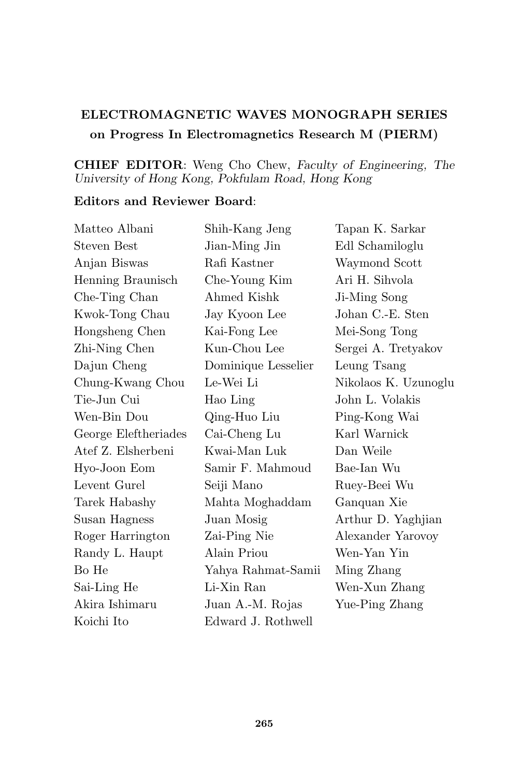## ELECTROMAGNETIC WAVES MONOGRAPH SERIES on Progress In Electromagnetics Research M (PIERM)

## CHIEF EDITOR: Weng Cho Chew, Faculty of Engineering, The University of Hong Kong, Pokfulam Road, Hong Kong

## Editors and Reviewer Board:

| Matteo Albani        | Shih-Kang Jeng      | Tapan K. Sarkar      |
|----------------------|---------------------|----------------------|
| <b>Steven Best</b>   | Jian-Ming Jin       | Edl Schamiloglu      |
| Anjan Biswas         | Rafi Kastner        | Waymond Scott        |
| Henning Braunisch    | Che-Young Kim       | Ari H. Sihvola       |
| Che-Ting Chan        | Ahmed Kishk         | Ji-Ming Song         |
| Kwok-Tong Chau       | Jay Kyoon Lee       | Johan C.-E. Sten     |
| Hongsheng Chen       | Kai-Fong Lee        | Mei-Song Tong        |
| Zhi-Ning Chen        | Kun-Chou Lee        | Sergei A. Tretyakov  |
| Dajun Cheng          | Dominique Lesselier | Leung Tsang          |
| Chung-Kwang Chou     | Le-Wei Li           | Nikolaos K. Uzunoglu |
| Tie-Jun Cui          | Hao Ling            | John L. Volakis      |
| Wen-Bin Dou          | Qing-Huo Liu        | Ping-Kong Wai        |
| George Eleftheriades | Cai-Cheng Lu        | Karl Warnick         |
| Atef Z. Elsherbeni   | Kwai-Man Luk        | Dan Weile            |
| Hyo-Joon Eom         | Samir F. Mahmoud    | Bae-Ian Wu           |
| Levent Gurel         | Seiji Mano          | Ruey-Beei Wu         |
| Tarek Habashy        | Mahta Moghaddam     | Ganquan Xie          |
| Susan Hagness        | Juan Mosig          | Arthur D. Yaghjian   |
| Roger Harrington     | Zai-Ping Nie        | Alexander Yarovoy    |
| Randy L. Haupt       | Alain Priou         | Wen-Yan Yin          |
| Bo He                | Yahya Rahmat-Samii  | Ming Zhang           |
| Sai-Ling He          | Li-Xin Ran          | Wen-Xun Zhang        |
| Akira Ishimaru       | Juan A.-M. Rojas    | Yue-Ping Zhang       |
| Koichi Ito           | Edward J. Rothwell  |                      |